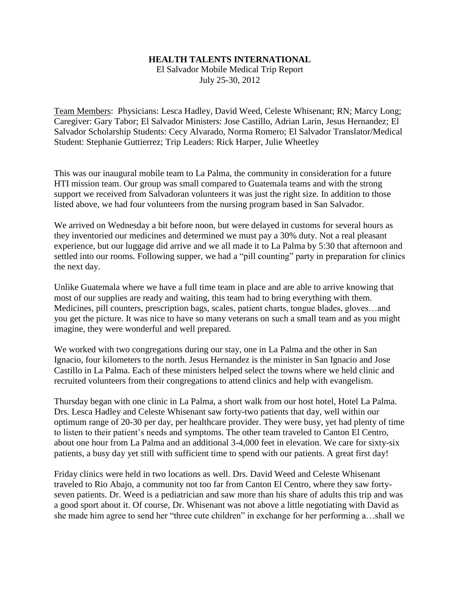## **HEALTH TALENTS INTERNATIONAL**

El Salvador Mobile Medical Trip Report July 25-30, 2012

Team Members: Physicians: Lesca Hadley, David Weed, Celeste Whisenant; RN; Marcy Long; Caregiver: Gary Tabor; El Salvador Ministers: Jose Castillo, Adrian Larin, Jesus Hernandez; El Salvador Scholarship Students: Cecy Alvarado, Norma Romero; El Salvador Translator/Medical Student: Stephanie Guttierrez; Trip Leaders: Rick Harper, Julie Wheetley

This was our inaugural mobile team to La Palma, the community in consideration for a future HTI mission team. Our group was small compared to Guatemala teams and with the strong support we received from Salvadoran volunteers it was just the right size. In addition to those listed above, we had four volunteers from the nursing program based in San Salvador.

We arrived on Wednesday a bit before noon, but were delayed in customs for several hours as they inventoried our medicines and determined we must pay a 30% duty. Not a real pleasant experience, but our luggage did arrive and we all made it to La Palma by 5:30 that afternoon and settled into our rooms. Following supper, we had a "pill counting" party in preparation for clinics the next day.

Unlike Guatemala where we have a full time team in place and are able to arrive knowing that most of our supplies are ready and waiting, this team had to bring everything with them. Medicines, pill counters, prescription bags, scales, patient charts, tongue blades, gloves…and you get the picture. It was nice to have so many veterans on such a small team and as you might imagine, they were wonderful and well prepared.

We worked with two congregations during our stay, one in La Palma and the other in San Ignacio, four kilometers to the north. Jesus Hernandez is the minister in San Ignacio and Jose Castillo in La Palma. Each of these ministers helped select the towns where we held clinic and recruited volunteers from their congregations to attend clinics and help with evangelism.

Thursday began with one clinic in La Palma, a short walk from our host hotel, Hotel La Palma. Drs. Lesca Hadley and Celeste Whisenant saw forty-two patients that day, well within our optimum range of 20-30 per day, per healthcare provider. They were busy, yet had plenty of time to listen to their patient's needs and symptoms. The other team traveled to Canton El Centro, about one hour from La Palma and an additional 3-4,000 feet in elevation. We care for sixty-six patients, a busy day yet still with sufficient time to spend with our patients. A great first day!

Friday clinics were held in two locations as well. Drs. David Weed and Celeste Whisenant traveled to Rio Abajo, a community not too far from Canton El Centro, where they saw fortyseven patients. Dr. Weed is a pediatrician and saw more than his share of adults this trip and was a good sport about it. Of course, Dr. Whisenant was not above a little negotiating with David as she made him agree to send her "three cute children" in exchange for her performing a…shall we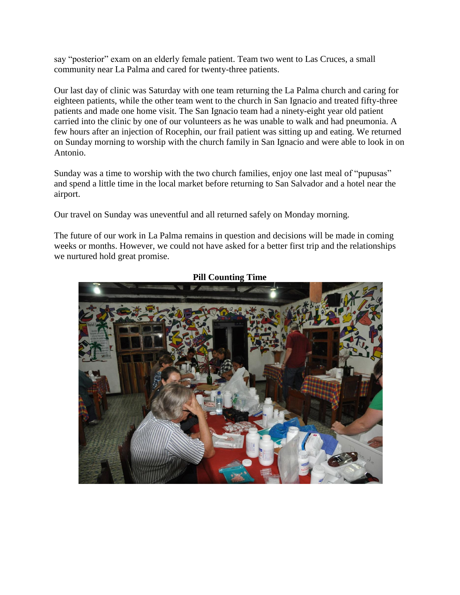say "posterior" exam on an elderly female patient. Team two went to Las Cruces, a small community near La Palma and cared for twenty-three patients.

Our last day of clinic was Saturday with one team returning the La Palma church and caring for eighteen patients, while the other team went to the church in San Ignacio and treated fifty-three patients and made one home visit. The San Ignacio team had a ninety-eight year old patient carried into the clinic by one of our volunteers as he was unable to walk and had pneumonia. A few hours after an injection of Rocephin, our frail patient was sitting up and eating. We returned on Sunday morning to worship with the church family in San Ignacio and were able to look in on Antonio.

Sunday was a time to worship with the two church families, enjoy one last meal of "pupusas" and spend a little time in the local market before returning to San Salvador and a hotel near the airport.

Our travel on Sunday was uneventful and all returned safely on Monday morning.

The future of our work in La Palma remains in question and decisions will be made in coming weeks or months. However, we could not have asked for a better first trip and the relationships we nurtured hold great promise.



**Pill Counting Time**